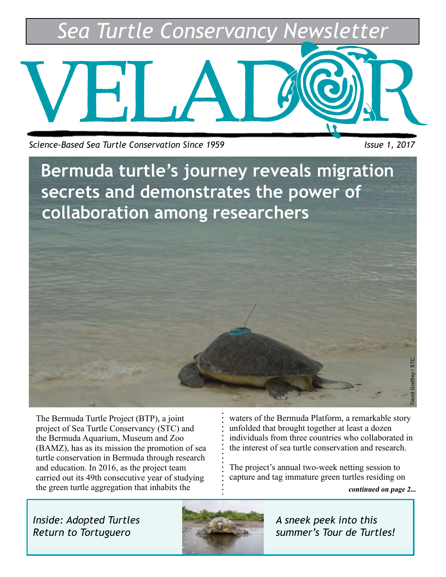*Sea Turtle Conservancy Newsletter*



*Science-Based Sea Turtle Conservation Since 1959* Intervalsed and *Issue 1, 2017* 

**Bermuda turtle's journey reveals migration secrets and demonstrates the power of collaboration among researchers**

The Bermuda Turtle Project (BTP), a joint project of Sea Turtle Conservancy (STC) and the Bermuda Aquarium, Museum and Zoo (BAMZ), has as its mission the promotion of sea turtle conservation in Bermuda through research and education. In 2016, as the project team carried out its 49th consecutive year of studying the green turtle aggregation that inhabits the

waters of the Bermuda Platform, a remarkable story unfolded that brought together at least a dozen individuals from three countries who collaborated in the interest of sea turtle conservation and research.

The project's annual two-week netting session to capture and tag immature green turtles residing on

**continued on page 2...**

David Godfrey / STC

*Inside: Adopted Turtles Return to Tortuguero* 



*A sneek peek into this summer's Tour de Turtles!*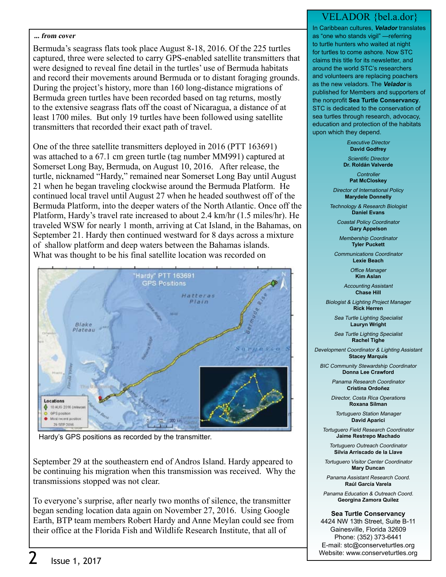#### **... from cover**

Bermuda's seagrass flats took place August 8-18, 2016. Of the 225 turtles captured, three were selected to carry GPS-enabled satellite transmitters that were designed to reveal fine detail in the turtles' use of Bermuda habitats and record their movements around Bermuda or to distant foraging grounds. During the project's history, more than 160 long-distance migrations of Bermuda green turtles have been recorded based on tag returns, mostly to the extensive seagrass flats off the coast of Nicaragua, a distance of at least 1700 miles. But only 19 turtles have been followed using satellite transmitters that recorded their exact path of travel.

One of the three satellite transmitters deployed in 2016 (PTT 163691) was attached to a 67.1 cm green turtle (tag number MM991) captured at Somerset Long Bay, Bermuda, on August 10, 2016. After release, the turtle, nicknamed "Hardy," remained near Somerset Long Bay until August 21 when he began traveling clockwise around the Bermuda Platform. He continued local travel until August 27 when he headed southwest off of the Bermuda Platform, into the deeper waters of the North Atlantic. Once off the Platform, Hardy's travel rate increased to about 2.4 km/hr (1.5 miles/hr). He traveled WSW for nearly 1 month, arriving at Cat Island, in the Bahamas, on September 21. Hardy then continued westward for 8 days across a mixture of shallow platform and deep waters between the Bahamas islands. What was thought to be his final satellite location was recorded on



Hardy's GPS positions as recorded by the transmitter.

September 29 at the southeastern end of Andros Island. Hardy appeared to be continuing his migration when this transmission was received. Why the transmissions stopped was not clear.

To everyone's surprise, after nearly two months of silence, the transmitter began sending location data again on November 27, 2016. Using Google Earth, BTP team members Robert Hardy and Anne Meylan could see from their office at the Florida Fish and Wildlife Research Institute, that all of

#### VELADOR {bel.a.dor}

In Caribbean cultures, **Velador** translates as "one who stands vigil" —referring to turtle hunters who waited at night for turtles to come ashore. Now STC claims this title for its newsletter, and around the world STC's researchers and volunteers are replacing poachers as the new veladors. The **Velador** is published for Members and supporters of the nonprofit **Sea Turtle Conservancy**. STC is dedicated to the conservation of sea turtles through research, advocacy, education and protection of the habitats upon which they depend.

> Executive Director **David Godfrey**

Scientific Director **Dr. Roldán Valverde**

> **Controller Pat McCloskey**

Director of International Policy **Marydele Donnelly**

Technology & Research Biologist **Daniel Evans**

Coastal Policy Coordinator **Gary Appelson**

Membership Coordinator **Tyler Puckett**

Communications Coordinator **Lexie Beach**

> Office Manager **Kim Aslan**

Accounting Assistant **Chase Hill**

Biologist & Lighting Project Manager **Rick Herren**

> Sea Turtle Lighting Specialist **Lauryn Wright**

> Sea Turtle Lighting Specialist **Rachel Tighe**

Development Coordinator & Lighting Assistant **Stacey Marquis**

BIC Community Stewardship Coordinator **Donna Lee Crawford**

> Panama Research Coordinator **Cristina Ordoñez**

> Director, Costa Rica Operations **Roxana Silman**

Tortuguero Station Manager **David Aparici**

Tortuguero Field Research Coordinator **Jaime Restrepo Machado**

Tortuguero Outreach Coordinator **Silvia Arriscado de la Llave**

Tortuguero Visitor Center Coordinator **Mary Duncan**

Panama Assistant Research Coord. **Raúl García Varela**

Panama Education & Outreach Coord. **Georgina Zamora Quílez**

**Sea Turtle Conservancy**

4424 NW 13th Street, Suite B-11 Gainesville, Florida 32609 Phone: (352) 373-6441 E-mail: stc@conserveturtles.org Website: www.conserveturtles.org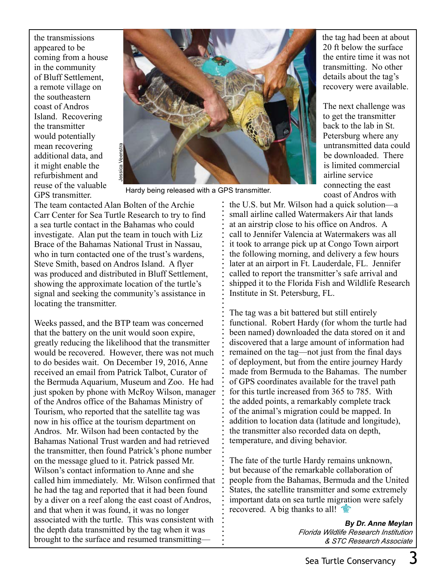the transmissions appeared to be coming from a house in the community of Bluff Settlement, a remote village on the southeastern coast of Andros Island. Recovering the transmitter would potentially mean recovering additional data, and it might enable the refurbishment and reuse of the valuable GPS transmitter.



Hardy being released with a GPS transmitter.

The team contacted Alan Bolten of the Archie Carr Center for Sea Turtle Research to try to find a sea turtle contact in the Bahamas who could investigate. Alan put the team in touch with Liz Brace of the Bahamas National Trust in Nassau, who in turn contacted one of the trust's wardens, Steve Smith, based on Andros Island. A flyer was produced and distributed in Bluff Settlement, showing the approximate location of the turtle's signal and seeking the community's assistance in locating the transmitter.

Weeks passed, and the BTP team was concerned that the battery on the unit would soon expire, greatly reducing the likelihood that the transmitter would be recovered. However, there was not much to do besides wait. On December 19, 2016, Anne received an email from Patrick Talbot, Curator of the Bermuda Aquarium, Museum and Zoo. He had just spoken by phone with McRoy Wilson, manager of the Andros office of the Bahamas Ministry of Tourism, who reported that the satellite tag was now in his office at the tourism department on Andros. Mr. Wilson had been contacted by the Bahamas National Trust warden and had retrieved the transmitter, then found Patrick's phone number on the message glued to it. Patrick passed Mr. Wilson's contact information to Anne and she called him immediately. Mr. Wilson confirmed that he had the tag and reported that it had been found by a diver on a reef along the east coast of Andros, and that when it was found, it was no longer associated with the turtle. This was consistent with the depth data transmitted by the tag when it was brought to the surface and resumed transmittingthe tag had been at about 20 ft below the surface the entire time it was not transmitting. No other details about the tag's recovery were available.

The next challenge was to get the transmitter back to the lab in St. Petersburg where any untransmitted data could be downloaded. There is limited commercial airline service connecting the east coast of Andros with

the U.S. but Mr. Wilson had a quick solution—a small airline called Watermakers Air that lands at an airstrip close to his office on Andros. A call to Jennifer Valencia at Watermakers was all it took to arrange pick up at Congo Town airport the following morning, and delivery a few hours later at an airport in Ft. Lauderdale, FL. Jennifer called to report the transmitter's safe arrival and shipped it to the Florida Fish and Wildlife Research Institute in St. Petersburg, FL.

The tag was a bit battered but still entirely functional. Robert Hardy (for whom the turtle had been named) downloaded the data stored on it and discovered that a large amount of information had remained on the tag—not just from the final days of deployment, but from the entire journey Hardy made from Bermuda to the Bahamas. The number of GPS coordinates available for the travel path for this turtle increased from 365 to 785. With the added points, a remarkably complete track of the animal's migration could be mapped. In addition to location data (latitude and longitude), the transmitter also recorded data on depth, temperature, and diving behavior.

The fate of the turtle Hardy remains unknown, but because of the remarkable collaboration of people from the Bahamas, Bermuda and the United States, the satellite transmitter and some extremely important data on sea turtle migration were safely recovered. A big thanks to all!

> **By Dr. Anne Meylan** *Florida Wildlife Research Institution & STC Research Associate*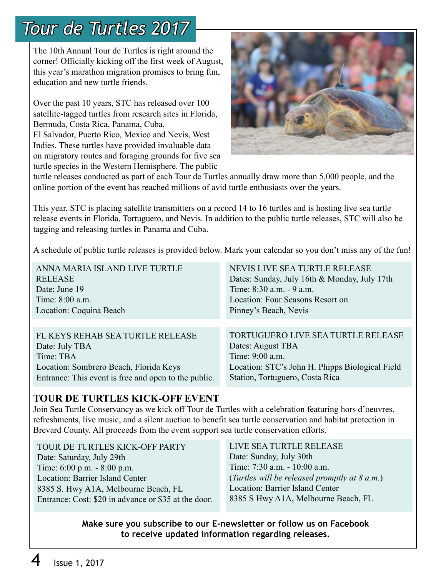## *Tour de Turtles 2017*

The 10th Annual Tour de Turtles is right around the corner! Officially kicking off the first week of August, this year's marathon migration promises to bring fun, education and new turtle friends.

Over the past 10 years, STC has released over 100 satellite-tagged turtles from research sites in Florida, Bermuda, Costa Rica, Panama, Cuba, El Salvador, Puerto Rico, Mexico and Nevis, West Indies. These turtles have provided invaluable data on migratory routes and foraging grounds for five sea turtle species in the Western Hemisphere. The public



turtle releases conducted as part of each Tour de Turtles annually draw more than 5,000 people, and the online portion of the event has reached millions of avid turtle enthusiasts over the years.

This year, STC is placing satellite transmitters on a record 14 to 16 turtles and is hosting live sea turtle release events in Florida, Tortuguero, and Nevis. In addition to the public turtle releases, STC will also be tagging and releasing turtles in Panama and Cuba.

A schedule of public turtle releases is provided below. Mark your calendar so you don't miss any of the fun!

| ANNA MARIA ISLAND LIVE TURTLE                        | NEVIS LIVE SEA TURTLE RELEASE                   |
|------------------------------------------------------|-------------------------------------------------|
| <b>RELEASE</b>                                       | Dates: Sunday, July 16th & Monday, July 17th    |
| Date: June 19                                        | Time: 8:30 a.m. - 9 a.m.                        |
| Time: 8:00 a.m.                                      | Location: Four Seasons Resort on                |
| Location: Coquina Beach                              | Pinney's Beach, Nevis                           |
|                                                      |                                                 |
| FL KEYS REHAB SEA TURTLE RELEASE                     | TORTUGUERO LIVE SEA TURTLE RELEASE              |
| Date: July TBA                                       | Dates: August TBA                               |
| Time: TBA                                            | Time: 9:00 a.m.                                 |
| Location: Sombrero Beach, Florida Keys               | Location: STC's John H. Phipps Biological Field |
| Entrance: This event is free and open to the public. | Station, Tortuguero, Costa Rica                 |
|                                                      |                                                 |

#### **TOUR DE TURTLES KICK-OFF EVENT**

Join Sea Turtle Conservancy as we kick off Tour de Turtles with a celebration featuring hors d'oeuvres, refreshments, live music, and a silent auction to benefit sea turtle conservation and habitat protection in Brevard County. All proceeds from the event support sea turtle conservation efforts.

TOUR DE TURTLES KICK-OFF PARTY Date: Saturday, July 29th Time: 6:00 p.m. - 8:00 p.m. Location: Barrier Island Center 8385 S. Hwy A1A, Melbourne Beach, FL Entrance: Cost: \$20 in advance or \$35 at the door. LIVE SEA TURTLE RELEASE Date: Sunday, July 30th Time: 7:30 a.m. - 10:00 a.m. (*Turtles will be released promptly at 8 a.m.*) Location: Barrier Island Center 8385 S Hwy A1A, Melbourne Beach, FL

**Make sure you subscribe to our E-newsletter or follow us on Facebook to receive updated information regarding releases.**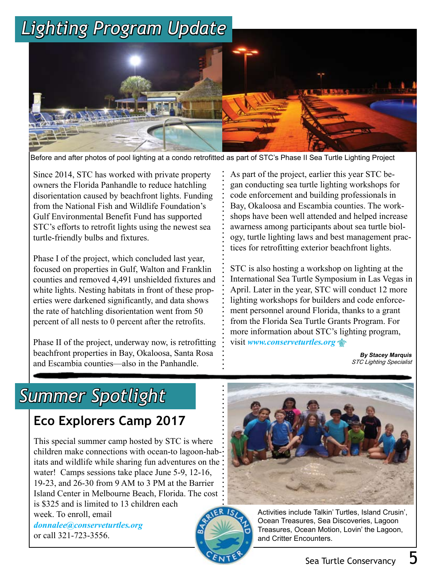# *Lighting Program Update*



Before and after photos of pool lighting at a condo retrofitted as part of STC's Phase II Sea Turtle Lighting Project

 Gulf Environmental Benefit Fund has supported turtle-friendly bulbs and fixtures. Since 2014, STC has worked with private property owners the Florida Panhandle to reduce hatchling disorientation caused by beachfront lights. Funding from the National Fish and Wildlife Foundation's STC's efforts to retrofit lights using the newest sea

 Phase I of the project, which concluded last year, counties and removed 4,491 unshielded fixtures and focused on properties in Gulf, Walton and Franklin white lights. Nesting habitats in front of these properties were darkened significantly, and data shows the rate of hatchling disorientation went from 50 percent of all nests to 0 percent after the retrofits.

Phase II of the project, underway now, is retrofitting beachfront properties in Bay, Okaloosa, Santa Rosa and Escambia counties—also in the Panhandle.

As part of the project, earlier this year STC began conducting sea turtle lighting workshops for code enforcement and building professionals in Bay, Okaloosa and Escambia counties. The workshops have been well attended and helped increase awarness among participants about sea turtle biology, turtle lighting laws and best management practices for retrofitting exterior beachfront lights.

STC is also hosting a workshop on lighting at the International Sea Turtle Symposium in Las Vegas in April. Later in the year, STC will conduct 12 more lighting workshops for builders and code enforcement personnel around Florida, thanks to a grant from the Florida Sea Turtle Grants Program. For more information about STC's lighting program, visit *www.conserveturtles.org*

> **By Stacey Marquis** *STC Lighting Specialist*

## *Summer Spotlight*

### **Eco Explorers Camp 2017**

This special summer camp hosted by STC is where children make connections with ocean-to lagoon-habitats and wildlife while sharing fun adventures on the water! Camps sessions take place June 5-9, 12-16, 19-23, and 26-30 from 9 AM to 3 PM at the Barrier Island Center in Melbourne Beach, Florida. The cost is \$325 and is limited to 13 children each week. To enroll, email *donnalee@conserveturtles.org*

or call 321-723-3556.





Activities include Talkin' Turtles, Island Crusin', Ocean Treasures, Sea Discoveries, Lagoon Treasures, Ocean Motion, Lovin' the Lagoon, and Critter Encounters.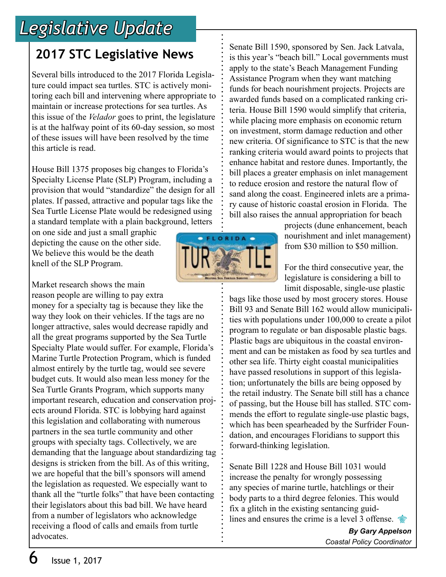## *Legislative Update*

### **2017 STC Legislative News**

Several bills introduced to the 2017 Florida Legislature could impact sea turtles. STC is actively monitoring each bill and intervening where appropriate to maintain or increase protections for sea turtles. As this issue of the *Velador* goes to print, the legislature is at the halfway point of its 60-day session, so most of these issues will have been resolved by the time this article is read.

House Bill 1375 proposes big changes to Florida's Specialty License Plate (SLP) Program, including a provision that would "standardize" the design for all plates. If passed, attractive and popular tags like the Sea Turtle License Plate would be redesigned using a standard template with a plain background, letters

on one side and just a small graphic depicting the cause on the other side. We believe this would be the death knell of the SLP Program.

Market research shows the main reason people are willing to pay extra

money for a specialty tag is because they like the way they look on their vehicles. If the tags are no longer attractive, sales would decrease rapidly and all the great programs supported by the Sea Turtle Specialty Plate would suffer. For example, Florida's Marine Turtle Protection Program, which is funded almost entirely by the turtle tag, would see severe budget cuts. It would also mean less money for the Sea Turtle Grants Program, which supports many important research, education and conservation projects around Florida. STC is lobbying hard against this legislation and collaborating with numerous partners in the sea turtle community and other groups with specialty tags. Collectively, we are demanding that the language about standardizing tag designs is stricken from the bill. As of this writing, we are hopeful that the bill's sponsors will amend the legislation as requested. We especially want to thank all the "turtle folks" that have been contacting their legislators about this bad bill. We have heard from a number of legislators who acknowledge receiving a flood of calls and emails from turtle advocates.



Senate Bill 1590, sponsored by Sen. Jack Latvala, is this year's "beach bill." Local governments must apply to the state's Beach Management Funding Assistance Program when they want matching

> projects (dune enhancement, beach nourishment and inlet management) from \$30 million to \$50 million.

For the third consecutive year, the legislature is considering a bill to limit disposable, single-use plastic

bags like those used by most grocery stores. House Bill 93 and Senate Bill 162 would allow municipalities with populations under 100,000 to create a pilot program to regulate or ban disposable plastic bags. Plastic bags are ubiquitous in the coastal environment and can be mistaken as food by sea turtles and other sea life. Thirty eight coastal municipalities have passed resolutions in support of this legislation; unfortunately the bills are being opposed by the retail industry. The Senate bill still has a chance of passing, but the House bill has stalled. STC commends the effort to regulate single-use plastic bags, which has been spearheaded by the Surfrider Foundation, and encourages Floridians to support this forward-thinking legislation.

Senate Bill 1228 and House Bill 1031 would increase the penalty for wrongly possessing any species of marine turtle, hatchlings or their body parts to a third degree felonies. This would fix a glitch in the existing sentancing guidlines and ensures the crime is a level 3 offense.

> *By Gary Appelson Coastal Policy Coordinator*

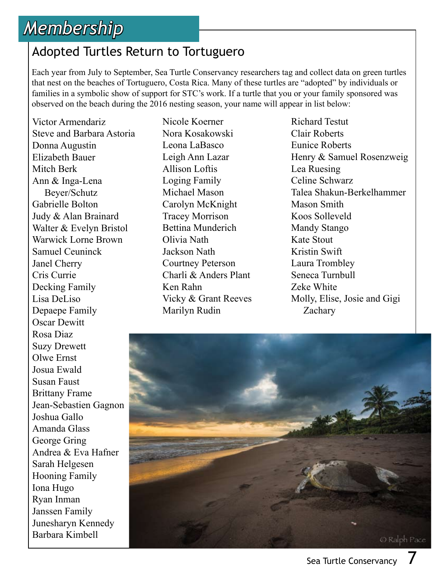## *Membership*

#### Adopted Turtles Return to Tortuguero

Each year from July to September, Sea Turtle Conservancy researchers tag and collect data on green turtles that nest on the beaches of Tortuguero, Costa Rica. Many of these turtles are "adopted" by individuals or families in a symbolic show of support for STC's work. If a turtle that you or your family sponsored was observed on the beach during the 2016 nesting season, your name will appear in list below:

Victor Armendariz Steve and Barbara Astoria Donna Augustin Elizabeth Bauer Mitch Berk Ann & Inga-Lena Beyer/Schutz Gabrielle Bolton Judy & Alan Brainard Walter & Evelyn Bristol Warwick Lorne Brown Samuel Ceuninck Janel Cherry Cris Currie Decking Family Lisa DeLiso Depaepe Family Oscar Dewitt Rosa Diaz Suzy Drewett Olwe Ernst Josua Ewald Susan Faust Brittany Frame Jean-Sebastien Gagnon Joshua Gallo Amanda Glass George Gring Andrea & Eva Hafner Sarah Helgesen Hooning Family Iona Hugo Ryan Inman Janssen Family Junesharyn Kennedy Barbara Kimbell

Nicole Koerner Nora Kosakowski Leona LaBasco Leigh Ann Lazar Allison Loftis Loging Family Michael Mason Carolyn McKnight Tracey Morrison Bettina Munderich Olivia Nath Jackson Nath Courtney Peterson Charli & Anders Plant Ken Rahn Vicky & Grant Reeves Marilyn Rudin

Richard Testut Clair Roberts Eunice Roberts Henry & Samuel Rosenzweig Lea Ruesing Celine Schwarz Talea Shakun-Berkelhammer Mason Smith Koos Solleveld Mandy Stango Kate Stout Kristin Swift Laura Trombley Seneca Turnbull Zeke White Molly, Elise, Josie and Gigi Zachary